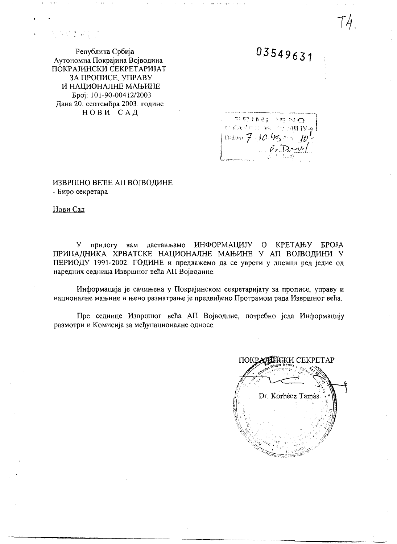### いち 長い合金

Република Србија Аутономна Покрајина Војводина ПОКРАЈИНСКИ СЕКРЕТАРИЈАТ ЗА ПРОПИСЕ, УПРАВУ И НАЦИОНАЛНЕ МАЊИНЕ Epoj: 101-90-00412/2003 Дана 20. септембра 2003. године НОВИ САД

03549631

रहाकार, धालाख⊙  $\frac{1}{2}$  denoted a non-example  $\frac{1}{2}$ <br>Dalum  $\frac{7}{7}$  .  $10.65$  and  $10^7$ 

ИЗВРШНО ВЕЋЕ АП ВОЈВОДИНЕ - Биро секретара -

Нови Сад

У прилогу вам дастављамо ИНФОРМАЦИЈУ О КРЕТАЊУ БРОЈА ПРИПАДНИКА ХРВАТСКЕ НАЦИОНАЛНЕ МАЊИНЕ У АП ВОЈВОДИНИ У ПЕРИОДУ 1991-2002. ГОДИНЕ и предлажемо да се уврсти у дневни ред једне од наредних седница Извршног већа АП Војводине.

Информација је сачињена у Покрајинском секретаријату за прописе, управу и националне мањине и њено разматрање је предвиђено Програмом рада Извршног већа.

Пре седнице Извршног већа АП Војводине, потребно једа Информацију размотри и Комисија за међунационалне односе.

ПОКРАЛИНСКИ СЕКРЕТАР Dr. Korhecz Tamás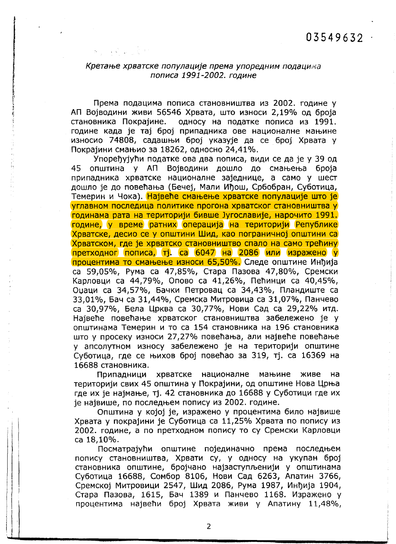### Кретање хрватске популације према упоредним подацима пописа 1991-2002. године

Према подацима пописа становништва из 2002. године у АП Војводини живи 56546 Хрвата, што износи 2,19% од броја становника Покрајине. односу на податке пописа из 1991. године када је тај број припадника ове националне мањине износио 74808, садашњи број указује да се број Хрвата у Покрајини смањио за 18262, односно 24,41%.

Упоређујући податке ова два пописа, види се да је у 39 од општина у АП Војводини дошло до смањења броја 45 припадника хрватске националне заједнице, а само у шест дошло је до повећања (Бечеј, Мали Иђош, Србобран, Суботица, Темерин и Чока). Највеће смањење хрватске популације што је углавном последица политике прогона хрватског становништва у годинама рата на територији бивше Југославије, нарочито 1991. године, у време ратних операција на територији Републике Хрватске, десио се у општини Шид, као пограничној општини са Хрватском, где је хрватско становништво спало на само трећину претходног пописа, тј. са 6047 на 2086 или изражено у процентима то смањење износи 65,50%. Следе општине Инђија са 59,05%, Рума са 47,85%, Стара Пазова 47,80%, Сремски Карловци са 44,79%, Опово са 41,26%, Пећинци са 40,45%, Оџаци са 34,57%, Бачки Петровац са 34,43%, Пландиште са 33,01%, Бач са 31,44%, Сремска Митровица са 31,07%, Панчево са 30,97%, Бела Црква са 30,77%, Нови Сад са 29,22% итд. Највеће повећање хрватског становништва забележено је у општинама Темерин и то са 154 становника на 196 становника што у просеку износи 27,27% повећања, али највеће повећање у апсолутном износу забележено је на територији општине Суботица, где се њихов број повећао за 319, тј. са 16369 на 16688 становника.

Припадници хрватске националне мањине живе на територији свих 45 општина у Покрајини, од општине Нова Црња где их је најмање, тј. 42 становника до 16688 у Суботици где их је највише, по последњем попису из 2002. године.

Општина у којој је, изражено у процентима било највише Хрвата у покрајини је Суботица са 11,25% Хрвата по попису из 2002. године, а по претходном попису то су Сремски Карловци ca 18,10%.

Посматрајући општине појединачно према последњем попису становништва, Хрвати су, у односу на укупан број становника општине, бројчано најзаступљенији у општинама Суботица 16688, Сомбор 8106, Нови Сад 6263, Апатин 3766, Сремској Митровици 2547, Шид 2086, Рума 1987, Инђија 1904, Стара Пазова, 1615, Бач 1389 и Панчево 1168. Изражено у процентима највећи број Хрвата живи у Апатину 11,48%,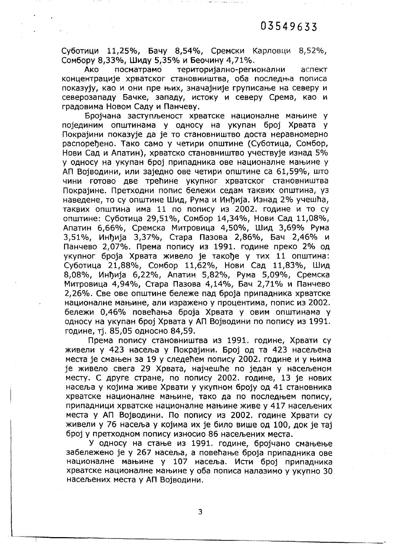Суботици 11,25%, Бачу 8,54%, Сремски Карловци 8,52%, Сомбору 8,33%, Шиду 5,35% и Беочину 4,71%.

والجوارية

територијално-регионални Ако посматрамо аспект концентрације хрватског становништва, оба последња пописа показују, као и они пре њих, значајније груписање на северу и северозападу Бачке, западу, истоку и северу Срема, као и градовима Новом Саду и Панчеву.

Бројчана заступљеност хрватске националне мањине у појединим општинама у односу на укупан број Хрвата у Покрајини показује да је то становништво доста неравномерно распоређено. Тако само у четири општине (Суботица, Сомбор, Нови Сад и Апатин), хрватско становништво учествује изнад 5% у односу на укупан број припадника ове националне мањине у АП Војводини, или заједно ове четири општине са 61,59%, што чини готово две трећине укупног хрватског становништва Покрајине. Претходни попис бележи седам таквих општина, уз наведене, то су општине Шид, Рума и Инђија. Изнад 2% учешћа, таквих општина има 11 по попису из 2002. године и то су општине: Суботица 29,51%, Сомбор 14,34%, Нови Сад 11,08%, Апатин 6,66%, Сремска Митровица 4,50%, Шид 3,69% Рума 3,51%, Инђија 3,37%, Стара Пазова 2,86%, Бач 2,46% и Панчево 2,07%. Према попису из 1991. године преко 2% од укупног броја Хрвата живело је такође у тих 11 општина: Суботица 21,88%, Сомбор 11,62%, Нови Сад 11,83%, Шид 8,08%, Инђија 6,22%, Апатин 5,82%, Рума 5,09%, Сремска Митровица 4,94%, Стара Пазова 4,14%, Бач 2,71% и Панчево 2,26%. Све ове општине бележе пад броја припадника хрватске националне мањине, али изражено у процентима, попис из 2002. бележи 0,46% повећања броја Хрвата у овим општинама у односу на укупан број Хрвата у АП Војводини по попису из 1991. године, тј. 85,05 односно 84,59.

Према попису становништва из 1991. године, Хрвати су живели у 423 насеља у Покрајини. Број од та 423 насељена места је смањен за 19 у следећем попису 2002. године и у њима је живело свега 29 Хрвата, најчешће по један у насељеном месту. С друге стране, по попису 2002. године, 13 је нових насеља у којима живе Хрвати у укупном броју од 41 становника хрватске националне мањине, тако да по последњем попису, припадници хрватске националне мањине живе у 417 насељених места у АП Војводини. По попису из 2002. године Хрвати су живели у 76 насеља у којима их је било више од 100, док је тај број у претходном попису износио 86 насељених места.

У односу на стање из 1991. године, бројчано смањење забележено је у 267 насеља, а повећање броја припадника ове националне мањине у 107 насеља. Исти број припадника хрватске националне мањине у оба пописа налазимо у укупно 30 насељених места у АП Војводини.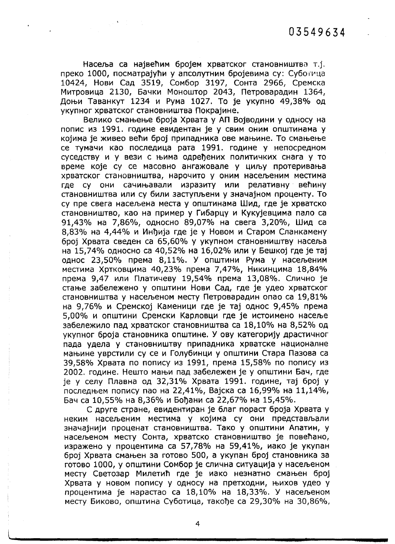Насеља са највећим бројем хрватског становништва т.ј. преко 1000, посматрајући у апсолутним бројевима су: Суботица 10424, Нови Сад 3519, Сомбор 3197, Сонта 2966, Сремска Митровица 2130, Бачки Моноштор 2043, Петроварадин 1364, Доњи Таванкут 1234 и Рума 1027. То је укупно 49,38% од укупног хрватског становништва Покрајине.

 $\label{eq:2} \frac{1}{\sqrt{2\pi}}\left(\frac{1}{2}\left(\frac{1}{2}\right)^2\right)^{1/2} \left(\frac{1}{2}\right)^{1/2} \left(\frac{1}{2}\right)^{1/2}$ 

Велико смањење броја Хрвата у АП Војводини у односу на попис из 1991. године евидентан је у свим оним општинама у којима је живео већи број припадника ове мањине. То смањење се тумачи као последица рата 1991. године у непосредном суседству и у вези с њима одређених политичких снага у то време које су се масовно ангажовале у циљу протеривања хрватског становништва, нарочито у оним насељеним местима где су они сачињавали изразиту или релативну већину становништва или су били заступљени у значајном проценту. То су пре свега насељена места у општинама Шид, где је хрватско становништво, као на пример у Гибарцу и Кукујевцима пало са 91,43% на 7,86%, односно 89,07% на свега 3,20%, Шид са 8,83% на 4,44% и Инђија где је у Новом и Старом Сланкамену број Хрвата сведен са 65,60% у укупном становништву насеља на 15.74% односно са 40.52% на 16.02% или у Бешкој где је тај однос 23,50% према 8,11%. У општини Рума у насељеним местима Хртковцима 40,23% према 7,47%, Никинцима 18,84% према 9,47 или Платичеву 19,54% према 13,08%. Слично је стање забележено у општини Нови Сад, где је удео хрватског становништва у насељеном месту Петроварадин опао са 19,81% на 9,76% и Сремској Каменици где је тај однос 9,45% према 5.00% и општини Сремски Карловци где је истоимено насеље забележило пад хрватског становништва са 18,10% на 8,52% од укупног броја становника општине. У ову категорију драстичног пада удела у становништву припадника хрватске националне мањине уврстили су се и Голубинци у општини Стара Пазова са 39,58% Хрвата по попису из 1991, према 15,58% по попису из 2002. године. Нешто мањи пад забележен је у општини Бач, где је у селу Плавна од 32,31% Хрвата 1991. године, тај број у последњем попису пао на 22,41%, Вајска са 16,99% на 11,14%, Бач са 10,55% на 8,36% и Бођани са 22,67% на 15,45%.

С друге стране, евидентиран је благ пораст броја Хрвата у неким насељеним местима у којима су они представљали значајнији проценат становништва. Тако у општини Апатин, у насељеном месту Сонта, хрватско становништво је повећано, изражено у процентима са 57,78% на 59,41%, иако је укупан број Хрвата смањен за готово 500, а укупан број становника за готово 1000, у општини Сомбор је слична ситуација у насељеном месту Светозар Милетић где је иако незнатно смањен број Хрвата у новом попису у односу на претходни, њихов удео у процентима је нарастао са 18,10% на 18,33%. У насељеном месту Биково, општина Суботица, такође са 29,30% на 30,86%,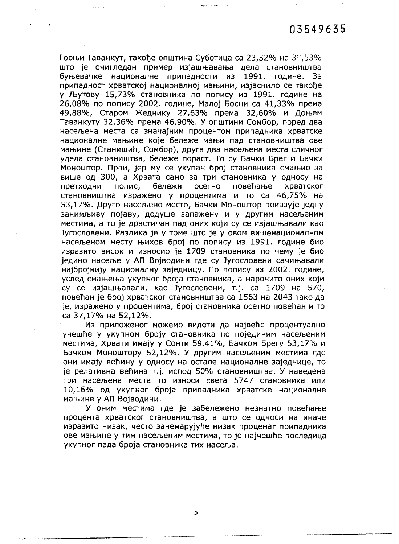Горњи Таванкут, такође општина Суботица са 23,52% на 30,53% што је очигледан пример изјашњавања дела становништва буњевачке националне припадности из 1991. године. За припадност хрватској националној мањини, изјаснило се такође у Љутову 15,73% становника по попису из 1991. године на 26,08% по попису 2002. године, Малој Босни са 41,33% према 49,88%, Старом Жеднику 27,63% према 32,60% и Доњем Таванкуту 32,36% према 46,90%. У општини Сомбор, поред два насељена места са значајним процентом припадника хрватске националне мањине које бележе мањи пад становништва ове мањине (Станишић, Сомбор), друга два насељена места сличног удела становништва, бележе пораст. То су Бачки Брег и Бачки Моноштор. Први, јер му се укупан број становника смањио за више од 300, а Хрвата само за три становника у односу на попис, бележи осетно повећање хрватског претходни становништва изражено у процентима и то са 46,75% на 53,17%. Друго насељено место, Бачки Моноштор показује једну занимљиву појаву, додуше запажену и у другим насељеним местима, а то је драстичан пад оних који су се изјашњавали као Југословени. Разлика је у томе што је у овом вишенационалном насељеном месту њихов број по попису из 1991. године био изразито висок и износио је 1709 становника по чему је био једино насеље у АП Војводини где су Југословени сачињавали најбројнију националну заједницу. По попису из 2002. године, услед смањења укупног броја становника, а нарочито оних који су се изјашњавали, као Југословени, т.ј. са 1709 на 570, повећан је број хрватског становништва са 1563 на 2043 тако да је, изражено у процентима, број становника осетно повећан и то са 37,17% на 52,12%.

Из приложеног можемо видети да највеће процентуално учешће у укупном броју становника по појединим насељеним местима, Хрвати имају у Сонти 59,41%, Бачком Брегу 53,17% и Бачком Моноштору 52,12%. У другим насељеним местима где они имају већину у односу на остале националне заједнице, то је релативна већина т.ј. испод 50% становништва. У наведена три насељена места то износи свега 5747 становника или 10,16% од укупног броја припадника хрватске националне мањине у АП Војводини.

У оним местима где је забележено незнатно повећање процента хрватског становништва, а што се односи на иначе изразито низак, често занемарујуће низак проценат припадника ове мањине у тим насељеним местима, то је најчешће последица укупног пада броја становника тих насеља.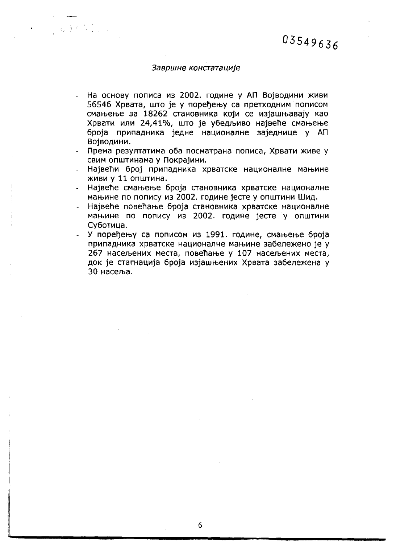### Завршне констатације

 $\label{eq:1} \frac{1}{\Lambda_{\rm{2D}}}\sum_{i=1}^{\Lambda_{\rm{2D}}}\left(\frac{1}{\Lambda_{\rm{2D}}}\right)^2\frac{1}{\Lambda_{\rm{2D}}}\left(\frac{1}{\Lambda_{\rm{2D}}}\right)^2.$ 

- На основу пописа из 2002. године у АП Војводини живи  $\ddot{\phantom{a}}$ 56546 Хрвата, што је у поређењу са претходним пописом смањење за 18262 становника који се изјашњавају као Хрвати или 24,41%, што је убедљиво највеће смањење броја припадника једне националне заједнице у АП Војводини.
- Према резултатима оба посматрана пописа, Хрвати живе у свим општинама у Покрајини.
- Највећи број припадника хрватске националне мањине живи у 11 општина.
- Највеће смањење броја становника хрватске националне мањине по попису из 2002. године јесте у општини Шид.
- Највеће повећање броја становника хрватске националне мањине по попису из 2002. године јесте у општини Суботица.
- У поређењу са пописом из 1991. године, смањење броја припадника хрватске националне мањине забележено је у 267 насељених места, повећање у 107 насељених места, док је стагнација броја изјашњених Хрвата забележена у 30 насеља.

6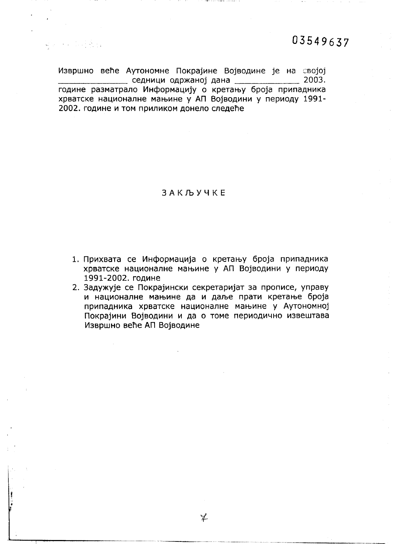$\label{eq:3.1} \begin{split} \mathcal{L}_{\text{max}}(\mathcal{L}_{\text{max}},\mathcal{L}_{\text{max}}) = \mathcal{L}_{\text{max}}(\mathcal{L}_{\text{max}}) \end{split}$ 

Извршно веће Аутономне Покрајине Војводине је на својој седници одржаној дана \_\_\_\_\_\_\_\_\_\_\_\_\_\_\_ 2003. године разматрало Информацију о кретању броја припадника хрватске националне мањине у АП Војводини у периоду 1991-2002. године и том приликом донело следеће

**3AKJDYYKE** 

- 1. Прихвата се Информација о кретању броја припадника хрватске националне мањине у АП Војводини у периоду 1991-2002. године
- 2. Задужује се Покрајински секретаријат за прописе, управу и националне мањине да и даље прати кретање броја припадника хрватске националне мањине у Аутономној Покрајини Војводини и да о томе периодично извештава Извршно веће АП Војводине

キ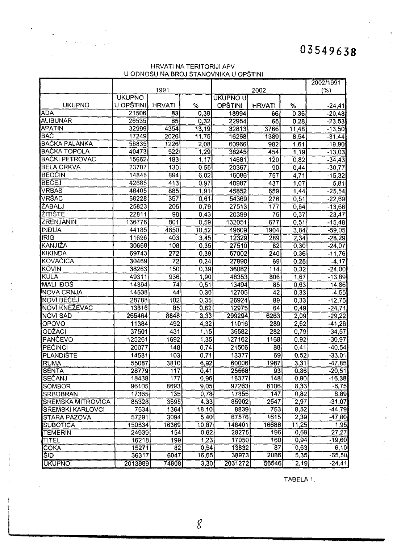### HRVATI NA TERITORIJI APV U ODNOSU NA BROJ STANOVNIKA U OPSTINI

 $\tau_{\rm c}$  .

|                          |               |                  |       |                |                 |       | 2002/1991 |
|--------------------------|---------------|------------------|-------|----------------|-----------------|-------|-----------|
|                          |               | 1991             |       |                | (%)             |       |           |
|                          | <b>UKUPNO</b> |                  |       | UKUPNO U       |                 |       |           |
| <b>UKUPNO</b>            | U OPŠTINI     | <b>HRVATI</b>    | %     | <b>OPŠTINI</b> | <b>HRVATI</b>   | %     | $-24,41$  |
| <b>ADA</b>               | 21506         | 83               | 0,39  | 18994          | 66              | 0,35  | $-20,48$  |
| ALIBUNAR                 | 26535         | 85               | 0,32  | 22954          | 65              | 0, 28 | $-23,53$  |
| <b>APATIN</b>            | 32999         | 4354             | 13,19 | 32813          | 3766            | 11,48 | $-13,50$  |
| <b>BAC</b>               | 17249         | 2026             | 11,75 | 16268          | 1389            | 8,54  | $-31,44$  |
| <b>BAČKA PALANKA</b>     | 58835         | 1226             | 2,08  | 60966          | 982             | 1,61  | $-19,90$  |
| <b>BACKA TOPOLA</b>      | 40473         | 522              | 1,29  | 38245          | 454             | 1,19  | $-13,03$  |
| <b>BAČKI PETROVAC</b>    | 15662         | 183              | 1,17  | 14681          | 120             | 0,82  | $-34,43$  |
| <b>BELA CRKVA</b>        | 23707         | 130              | 0,55  | 20367          | 90              | 0,44  | $-30,77$  |
| <b>BEOČIN</b>            | 14848         | 894              | 6,02  | 16086          | 757             | 4,71  | $-15,32$  |
| <b>BEČEJ</b>             | 42685         | 413              | 0,97  | 40987          | 437             | 1,07  | 5,81      |
| VRBAS                    | 46405         | 885              | 1,91  | 45852          | 659             | 1.44  | $-25,54$  |
| VRŠAC                    | 58228         | 357              | 0,61  | 54369          | 276             | 0,51  | $-22,69$  |
| <b>ŽABALJ</b>            | 25823         | 205              | 0,79  | 27513          | 177             | 0,64  | $-13,66$  |
| <b>ZITISTE</b>           | 22811         | 98               | 0,43  | 20399          | $\overline{75}$ | 0,37  | $-23,47$  |
| ZRENJANIN                | 136778        | 801              | 0,59  | 132051         | 677             | 0,51  | $-15,48$  |
| <b>INDIJA</b>            | 44185         | 4650             | 10,52 | 49609          | 1904            | 3.84  | $-59,05$  |
| <b>IRIG</b>              | 11696         | 403              | 3,45  | 12329          | 289             | 2,34  | $-28,29$  |
| KANJIŽA                  | 30668         | 108              | 0,35  | 27510          | 82              | 0,30  | $-24,07$  |
| <b>KIKINDA</b>           | 69743         | $\overline{272}$ | 0,39  | 67002          | 240             | 0,36  | -11,76    |
| KOVAČICA                 | 30469         | $\overline{72}$  | 0,24  | 27890          | 69              | 0,25  | $-4,17$   |
| KOVIN                    | 38263         | 150              | 0,39  | 36082          | 114             | 0,32  | $-24,00$  |
| KULA                     | 49311         | 936              | 1,90. | 48353          | 806             | 1,67  | $-13,89$  |
| <b>MALI IDOS</b>         | 14394         | 74               | 0,51  | 13494          | 85              | 0,63  | 14,86     |
| <b>NOVA CRNJA</b>        | 14538         | 44               | 0,30  | 12705          | $\overline{42}$ | 0,33  | $-4,55$   |
| <b>NOVI BECEJ</b>        | 28788         | 102              | 0,35  | 26924          | 89              | 0,33  | $-12,75$  |
| NOVI KNEŽEVAC            | 13816         | 85               | 0,62  | 12975          | 64              | 0,49  | $-24,71$  |
| <b>NOVI SAD</b>          | 265464        | 8848             | 3,33  | 299294         | 6263            | 2,09  | $-29,22$  |
| OPOVO                    | 11384         | 492              | 4,32  | 11016          | 289             | 2,62  | $-41,26$  |
| ODŽACI                   | 37501         | 431              | 1,15  | 35582          | 282             | 0,79  | $-34,57$  |
| <b>PANCEVO</b>           | 125261        | 1692             | 1,35  | 127162         | 1168            | 0,92  | $-30,97$  |
| <b>PECINCI</b>           | 20077         | 148              | 0,74  | 21506          | 88              | 0,41  | $-40,54$  |
| <b>PLANDISTE</b>         | 14581         | 103              | 0,71  | 13377          | 69              | 0,52  | $-33,01$  |
| <b>RUMA</b>              | 55087         | 3810             | 6,92  | 60006          | 1987            | 3,31  | $-47,85$  |
| <b>SENTA</b>             | 28779         | 117              | 0,41  | 25568          | 93              | 0,36  | $-20,51$  |
| SEČANJ                   | 18438         | 177              | 0,96  | 16377          | 148             | 0,90  | $-16,38$  |
| <b>SOMBOR</b>            | 96105         | 8693             | 9,05  | 97263          | 8106            | 8,33  | $-6,75$   |
| SRBOBRAN                 | 17365         | 135              | 0,78  | 17855          | 147             | 0,82  | 8,89      |
| <b>SREMSKA MITROVICA</b> | 85328         | 3695             | 4,33  | 85902          | 2547            | 2,97  | $-31,07$  |
| <b>SREMSKI KARLOVCI</b>  | 7534          | 1364             | 18,10 | 8839           | 753             | 8,52  | $-44,79$  |
| <b>STARA PAZOVA</b>      | 57291         | 3094             | 5,40  | 67576          | 1615            | 2,39  | $-47,80$  |
| <b>SUBOTICA</b>          | 150534        | 16369            | 10,87 | 148401         | 16688           | 11,25 | 1,95      |
| <b>TEMERIN</b>           | 24939         | 154              | 0,62  | 28275          | 196             | 0,69  | 27,27     |
| TITEL                    | 16218         | 199              | 1,23  | 17050          | 160             | 0,94  | -19,60    |
| <b>ČOKA</b>              | 15271         | 82               | 0,54  | 13832          | 87              | 0,63  | 6,10      |
| <b>SID</b>               | 36317         | 6047             | 16,65 | 38973          | 2086            | 5,35  | $-65,50$  |
| UKUPNO:                  | 2013889       | 74808            | 3,30  | 2031272        | 56546           | 2,19  | $-24,41$  |

TABELA 1.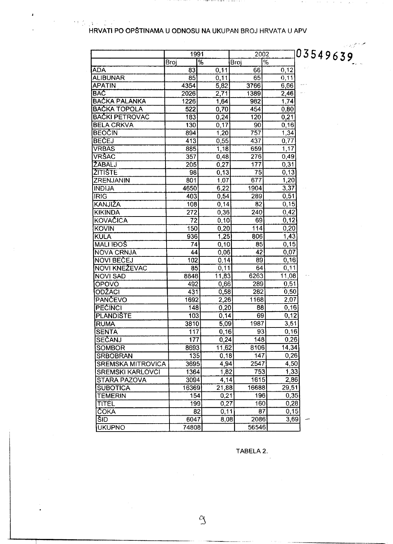# HRVATI PO OPŠTINAMA U ODNOSU NA UKUPAN BROJ HRVATA U APV

a no constantante como como es**ual e decorrere e** creo de el colo

 $\mathcal{O}(\mathcal{O}(n^2))$  , where  $\mathcal{O}(\mathcal{O}(n^2))$  ,  $\mathcal{O}(\mathcal{O}(n^2))$  ,  $\mathcal{O}(\mathcal{O}(n^2))$  , and

 $\omega \in \mathcal{P}_\omega$ 

|                          | 1991             |                 |       | 2002          | 03549639 |
|--------------------------|------------------|-----------------|-------|---------------|----------|
|                          | Broj             | $\overline{\%}$ | Broj  | $\frac{1}{2}$ |          |
| <b>ADA</b>               | 83               | 0,11            | 66    | 0,12          |          |
| ALIBUNAR                 | 85               | 0,11            | 65    | 0,11          |          |
| <b>APATIN</b>            | 4354             | 5,82            | 3766  | 6,66          |          |
| <b>BAC</b>               | 2026             | 2,71            | 1389  | 2,46          |          |
| <b>BACKA PALANKA</b>     | 1226             | 1,64            | 982   | 1,74          |          |
| <b>BACKA TOPOLA</b>      | 522              | 0,70            | 454   | 0,80          |          |
| <b>BACKI PETROVAC</b>    | 183              | 0,24            | 120   | 0,21          |          |
| <b>BELA CRKVA</b>        | 130              | 0,17            | 90    | 0, 16         |          |
| <b>BEOCIN</b>            | 894              | 1,20            | 757   | 1,34          |          |
| <b>BECEJ</b>             | 413              | 0,55            | 437   | 0,77          |          |
| <b>VRBAS</b>             | 885              | 1,18            | 659   | 1,17          |          |
| <b>VRSAC</b>             | 357              | 0,48            | 276   | 0,49          |          |
| ZABALJ                   | 205              | 0,27            | 177   | 0,31          |          |
| <b>ZITISTE</b>           | 98               | 0, 13           | 75    | 0,13          |          |
| IZRENJANIN               | 801              | 1,07            | 677   | 1,20          |          |
| <b>INDIJA</b>            | 4650             | 6,22            | 1904  | 3,37          |          |
| <b>IRIG</b>              | 403              | 0,54            | 289   | 0,51          |          |
| KANJIŽA                  | 108              | 0,14            | 82    | 0, 15         |          |
| <b>KIKINDA</b>           | 272              | 0,36            | 240   | 0,42          |          |
| KOVAČICA                 | 72               | 0, 10           | 69    | 0,12          |          |
| <b>KOVIN</b>             | 150              | 0,20            | 114   | 0,20          |          |
| <b>KULA</b>              | 936              | 1,25            | 806   | 1,43          |          |
| <b>MALI IDOS</b>         | 74               | 0, 10           | 85    | 0,15          |          |
| <b>NOVA CRNJA</b>        | 44               | 0,06            | 42    | 0,07          |          |
| <b>NOVI BECEJ</b>        | 102              | 0,14            | 89    | 0, 16         |          |
| NOVI KNEŽEVAC            | 85               | 0,11            | 64    | 0,11          |          |
| <b>NOVI SAD</b>          | 8848             | 11,83           | 6263  | 11,08         |          |
| OPOVO                    | 492              | 0,66            | 289   | 0,51          |          |
| ODŽACI                   | 431              | 0,58            | 282   | 0,50          |          |
| <b>PANCEVO</b>           | 1692             | 2,26            | 1168  | 2,07          |          |
| <b>PECINCI</b>           | 148              | 0,20            | 88    | 0,16          |          |
| <b>PLANDISTE</b>         | 103              | 0,14            | 69    | 0,12          |          |
| <b>RUMA</b>              | 3810             | 5,09            | 1987  | 3,51          |          |
| <b>SENTA</b>             | 117              | 0, 16           | 93    | 0,16          |          |
| SEČANJ                   | $17\overline{7}$ | 0,24            | 148   | 0,26          |          |
| <b>SOMBOR</b>            | 8693             | 11,62           | 8106  | 14,34         |          |
| <b>SRBOBRAN</b>          | 135              | 0,18            | 147   | 0,26          |          |
| <b>SREMSKA MITROVICA</b> | 3695             | 4.94            | 2547  | 4,50          |          |
| <b>SREMSKI KARLOVCI</b>  | 1364             | 1,82            | 753   | 1,33          |          |
| <b>STARA PAZOVA</b>      | 3094             | 4,14            | 1615  | 2,86          |          |
| <b>SUBOTICA</b>          | 16369            | 21,88           | 16688 | 29,51         |          |
| TEMERIN                  | 154              | 0,21            | 196   | 0,35          |          |
| <b>TITEL</b>             | 199              | 0,27            | 160   | 0,28          |          |
| ČOKA                     | 82               | 0,11            | 87    | 0,15          |          |
| ŠID                      | 6047             | 8,08            | 2086  | 3,69          |          |
| <b>UKUPNO</b>            | 74808            |                 | 56546 |               |          |

TABELA 2.

 $\mathfrak{A}$ 

 $\hat{\mathcal{A}}$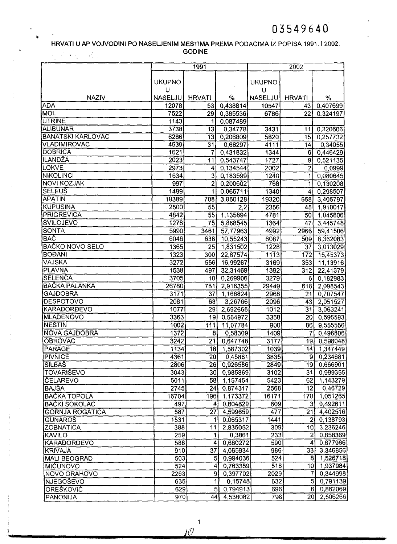#### HRVATI U AP VOJVODINI PO NASELJENIM MESTIMA PREMA PODACIMA IZ POPISA 1991. 12002. GODINE 2. P. A. 2. P. A.

|                          |               | 1991            |                  |                | 2002                    |                       |
|--------------------------|---------------|-----------------|------------------|----------------|-------------------------|-----------------------|
|                          |               |                 |                  |                |                         |                       |
|                          | <b>UKUPNO</b> |                 |                  | <b>UKUPNO</b>  |                         |                       |
|                          | U             |                 |                  | U              |                         |                       |
| <b>NAZIV</b>             | NASELJU       | <b>HRVATI</b>   | $\%$             | <b>NASELJU</b> | <b>HRVATI</b>           | %                     |
| <b>ADA</b>               | 12078         | 53              | 0,438814         | 10547          | 43                      | 0,407699              |
| MOL                      | 7522          | 29              | 0,385536         | 6786           | $\overline{22}$         | 0,324197              |
| <b>UTRINE</b>            | 1143          |                 | 0,087489         |                |                         |                       |
| <b>ALIBUNAR</b>          | 3738          | 13              | 0,34778          | 3431           | 11                      | 0,320606              |
| <b>BANATSKI KARLOVAC</b> | 6286          | 13              | 0,206809         | 5820           | 15 <sub>l</sub>         | 0,257732              |
| <b>VLADIMIROVAC</b>      | 4539          | $\overline{31}$ | 0,68297          | 4111           | 14                      | 0,34055               |
| DOBRICA                  | 1621          | 7               | 0,431832         | 1344           | $6 \mid$                | 0,446429              |
| ILANDŽA                  | 2023          | 11              | 0,543747         | 1727           | 9                       | $\overline{0,521135}$ |
| <b>LOKVE</b>             | 2973          | 4               | 0,134544         | 2002           | $\overline{2}$          | 0,0999                |
| NIKOLINCI                | 1634          | $\overline{3}$  | 0,183599         | 1240           | $\mathbf{1}$            | 0,080645              |
| <b>NOVI KOZJAK</b>       | 997           | $\overline{2}$  | 0,200602         | 768            | $\overline{\mathbf{1}}$ | 0,130208              |
| <b>SELEUS</b>            | 1499          | 1               | 0,066711         | 1340           | 4                       | 0,298507              |
| <b>APATIN</b>            | 18389         | 708             | 3,850128         | 19320          | 658                     | 3,405797              |
| <b>KUPUSINA</b>          | 2500          | $\overline{55}$ | $\overline{2,2}$ | 2356           | 45                      | 1,910017              |
| PRIGREVICA               | 4842          | $\overline{55}$ | 1,135894         | 4781           | 50                      | 1,045806              |
| <b>SVILOJEVO</b>         | 1278          | $\overline{75}$ | 5,868545         | 1364           | 47                      | 3,445748              |
| <b>SONTA</b>             | 5990          | 3461            | 57,77963         | 4992           | 2966                    | 59,41506              |
| <b>BAC</b>               | 6046          | 638             | 10,55243         | 6087           | 509                     | 8,362083              |
| <b>BAČKO NOVO SELO</b>   | 1365          | $\overline{25}$ | 1,831502         | 1228           | 37                      | 3,013029              |
| <b>BOĐANI</b>            | 1323          | 300             | 22,67574         | 1113           | 172                     | 15,45373              |
| VAJSKA                   | 3272          | 556             | 16,99267         | 3169           | 353                     | 11,13916              |
| PLAVNA                   | 1538          | 497             | 32,31469         | 1392           | 312                     | 22,41379              |
| SELENCA                  | 3705          | 10              | 0,269906         | 3279           | 6                       | 0,182983              |
| <b>BACKA PALANKA</b>     | 26780         | 781             | 2,916355         | 29449          | 618                     | 2,098543              |
| <b>GAJDOBRA</b>          | 3171          | 37              | 1,166824         | 2968           | $\overline{21}$         | 0,707547              |
| <b>DESPOTOVO</b>         | 2081          | 68              | 3,26766          | 2096           | 43                      | 2,051527              |
| <b>KARAĐORĐEVO</b>       | 1077          | 29              | 2,692665         | 1012           | $\overline{31}$         | 3,063241              |
| <b>MLADENOVO</b>         | 3363          | 19              | 0,564972         | 3358           | 20                      | 0,595593              |
| <b>NESTIN</b>            | 1002          | 111             | 11,07784         | 900            | 86                      | 9,555556              |
| <b>NOVA GAJDOBRA</b>     | 1372          | 8               | 0,58309          | 1409           | 7                       | 0,496806              |
| <b>OBROVAC</b>           | 3242          | $\overline{21}$ | 0.647748         | 3177           | $\overline{19}$         | 0,598048              |
| PARAGE                   | 1134          | 18              | 1,587302         | 1039           | 44                      | 1,347449              |
| <b>PIVNICE</b>           | 4361          | $\overline{20}$ | 0,45861          | 3835           | 9                       | 0,234681              |
| <b>SILBAS</b>            | 2806          | 26              | 0,926586         | 2849           | 19                      | 0,666901              |
| <b>TOVARIŠEVO</b>        | 3043          | 30 <sub>l</sub> | 0,985869         | 3102           | 31                      | 0,999355              |
| <b>ČELAREVO</b>          | 5011          | 58              | 1,157454         | 5423           | 62                      | 1,143279              |
| <b>BAJŠA</b>             | 2745          | 24              | 0,874317         | 2568           | 12                      | 0,46729               |
| <b>BACKA TOPOLA</b>      | 16704         | 196             | 1,173372         | 16171          | 170                     | 1,051265              |
| <b>BAČKI SOKOLAC</b>     | 497           | 4               | 0,804829         | 609            | 3                       | 0,492611              |
| <b>GORNJA ROGATICA</b>   | 587           | 27              | 4,599659         | 477            | 21                      | 4,402516              |
| <b>GUNAROS</b>           | 1531          | 1               | 0,065317         | 1441           | $\overline{2}$          | 0,138793              |
| <b>ZOBNATICA</b>         | 388           | 11              | 2,835052         | 309            | 10                      | 3,236246              |
| <b>KAVILO</b>            | 259           | $\vert$         | 0,3861           | 233            | 21                      | 0,858369              |
| <b>KARAĐORĐEVO</b>       | 588           | 4               | 0,680272         | 590            | 41                      | 0,677966              |
| <b>KRIVAJA</b>           | 910           | $\overline{37}$ | 4,065934         | 986            | 33                      | 3,346856              |
| <b>MALI BEOGRAD</b>      | 503           | 5               | 0,994036         | 524            | 8 <sup>1</sup>          | 1,526718              |
| <b>MICUNOVO</b>          | 524           | $\overline{4}$  | 0,763359         | 516            | 10                      | 1,937984              |
| <b>NOVO ORAHOVO</b>      | 2263          | $\overline{9}$  | 0,397702         | 2029           | $\overline{7}$          | 0,344998              |
| <b>NJEGOŠEVO</b>         | 635           | $\mathbf{1}$    | 0,15748          | 632            | $\overline{5}$          | 0,791139              |
| <b>OREŠKOVIĆ</b>         | 629           | $\overline{5}$  | 0,794913         | 696            | 6 <sup>1</sup>          | 0,862069              |
| PANONIJA                 | 970           | 44              | 4,536082         | 798            | 20 <sup>1</sup>         | 2,506266              |

1 *J{J*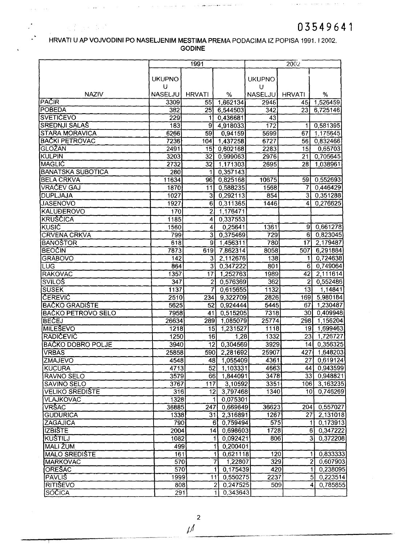$\hat{\beta}$  is a particle to the contract of the  $\hat{\beta}$  -form  $\hat{\beta}$ 

 $\mathcal{A}^{\text{max}}_{\text{max}}$ 

### HRVATI U AP VOJVODINI PO NASELJENIM MESTIMA PREMA PODACIMA IZ POPISA 1991.12002. GODINE

 $\hat{f}^{\dagger}$  ,  $\hat{f}^{\dagger}$  ,  $\hat{f}^{\dagger}$  ,  $\hat{f}^{\dagger}$  ,  $\hat{f}^{\dagger}$  ,  $\hat{f}^{\dagger}$  ,  $\hat{f}^{\dagger}$  ,  $\hat{f}^{\dagger}$  ,  $\hat{f}^{\dagger}$  ,  $\hat{f}^{\dagger}$  ,  $\hat{f}^{\dagger}$  ,  $\hat{f}^{\dagger}$  ,  $\hat{f}^{\dagger}$  ,  $\hat{f}^{\dagger}$  ,  $\hat{f}^{\dagger}$ 

 $\hat{u}$  , associated

 $\label{eq:2} \frac{1}{\left( \frac{1}{2} \right)^{2}} \sum_{i=1}^{N} \frac{1}{2} \left( \frac{1}{2} \right)^{2} \left( \frac{1}{2} \right)^{2} \left( \frac{N}{2} \right)^{2}$ 

 $\alpha$  ,  $\alpha$  ,  $\beta$  ,  $\alpha$ 

 $\alpha$  ,  $\alpha$  , and the constraints in the spectral space of the  $\alpha$ 

|                           |                    | 1991            |                                     |               | 2002            |                            |
|---------------------------|--------------------|-----------------|-------------------------------------|---------------|-----------------|----------------------------|
|                           | <b>UKUPNO</b><br>U |                 |                                     | <b>UKUPNO</b> |                 |                            |
| <b>NAZIV</b>              | <b>NASELJU</b>     | <b>HRVATI</b>   | %                                   | υ<br>NASELJU) | <b>HRVATI</b>   | %                          |
| PACIR                     | 3309               | 55              | 1,662134                            | 2946          | 45 <sub>1</sub> | 1,526459                   |
| <b>POBEDA</b>             | 382                | $\overline{25}$ | 6,544503                            | 342           | 23              | 6,725146                   |
| <b>SVETICEVO</b>          | 229                | 1               | 0,436681                            | 43            |                 |                            |
| <b>SREDNJI SALAŠ</b>      | 183                | 9               | 4,918033                            | 172           | 1               | 0,581395                   |
| <b>STARA MORAVICA</b>     | 6266               | 59              | 0,94159                             | 5699          | 67              | 1,175645                   |
| <b>BAČKI PETROVAC</b>     | 7236               | 104             | 1,437258                            | 6727          | 56              | 0,832466                   |
| GLOŽAN                    | 2491               | $\overline{15}$ | 0,602168                            | 2283          | 15              | 0,65703                    |
| KULPIN                    | 3203               | 32              | 0,999063                            | 2976          | 21              | 0,705645                   |
| MAGLIC                    | 2732               | 32              | 1,171303                            | 2695          | 28              | 1,038961                   |
| <b>BANATSKA SUBOTICA</b>  | 280                | 1               | 0,357143                            |               |                 |                            |
| <b>BELA CRKVA</b>         | 11634              | 96              | 0,825168                            | 10675         | 59              | 0,552693                   |
| <b>VRAČEV GAJ</b>         | 1870               | 11              | 0,588235                            | 1568          | 7               | 0,446429                   |
| <b>DUPLJAJA</b>           | 1027               | $\overline{3}$  | 0,292113                            | 854           | $\overline{3}$  | 0,351288                   |
| <b>JASENOVO</b>           | 1927               | 6               | 0,311365                            | 1446          | 4               | 0,276625                   |
| <b>KALUĐEROVO</b>         | 170                | $\overline{2}$  | 1,176471                            |               |                 |                            |
| <b>KRUSCICA</b>           | 1185               | 4               | 0,337553                            |               |                 |                            |
| <b>KUSIC</b>              | 1560               | 4               | 0.25641                             | 1361          | 9               | 0,661278                   |
| <b>CRVENA CRKVA</b>       | 799                | 3               | 0,375469                            | 729           | 6               | 0,823045                   |
| <b>BANOSTOR</b>           | 618                | 9 <sub>l</sub>  | 1,456311                            | 780           | 17              | 2,179487                   |
| <b>BEOCIN</b>             | 7873               | 619             | 7,862314                            | 8058          | 507             | 6,291884                   |
| <b>GRABOVO</b>            | 142                | $\overline{3}$  | 2,112676                            | 138           | 1               | 0,724638                   |
| <b>LUG</b>                | 864                | $\overline{3}$  | 0,347222                            | 801           | 6               | 0,749064                   |
| <b>RAKOVAC</b>            | 1357               | $\overline{17}$ | 1,252763                            | 1989          | 42              | 2,111614                   |
| <b>SVILOS</b>             | 347                | $\overline{2}$  | 0,576369                            | 362           | $\overline{2}$  | 0,552486                   |
| <b>SUSEK</b>              | 1137               | 7               | 0,615655                            | 1132          | 13              | 1,14841                    |
| <b>ČEREVIC</b>            | 2510               | 234             | 9,322709                            | 2826          | 169             | 5,980184                   |
| <b>BAČKO GRADIŠTE</b>     | 5625               | 52              | 0,924444                            | 5445          | 67              | 1,230487                   |
| <b>BAČKO PETROVO SELO</b> | 7958               | 41              | 0,515205                            | 7318          | 30 <sub>1</sub> | 0,409948                   |
| <b>BECEJ</b>              | 26634              | 289             | 1,085079                            | 25774         | 298             | 1,156204                   |
| <b>MILEŠEVO</b>           | 1218               | 15 <sub>2</sub> | 1,231527                            | 1118          | 19              | 1,699463                   |
| <b>RADICEVIC</b>          | 1250               | 16              | 1,28                                | 1332          | $\overline{23}$ | 1,726727                   |
| <b>BAČKO DOBRO POLJE</b>  | 3940               |                 | $\overline{12}$ 0,304569            | 3929          |                 | 14 0,356325                |
| <b>VRBAS</b>              | 25858              | 590             | 2,281692                            | 25907         | 427             | 1,648203                   |
| ZMAJEVO                   | 4548               | 48              | 1,055409                            | 4361          | 27              | 0,619124                   |
| <b>KUCURA</b>             | 4713               | 52              | 1,103331                            | 4663          | 44              | 0,943599                   |
| <b>RAVNO SELO</b>         | 3579               | 66              | 1,844091                            | 3478          | 33              | 0,948821                   |
| <b>SAVINO SELO</b>        | 3767               | 117             | 3,10592                             | 3351          | 106             | 3,163235                   |
| <b>VELIKO SREDIŠTE</b>    | 316                | 12 <sub>1</sub> | 3,797468                            | 1340          | 10 <sub>1</sub> | 0,746269                   |
| VLAJKOVAC                 | 1328               |                 | 0,075301<br>1                       |               |                 |                            |
| <b>VRŠAC</b>              | 36885              | 247             | 0,669649                            | 36623         | 204             | 0,557027                   |
| <b>GUDURICA</b>           | 1338               | 31              | 2,316891                            | 1267          | 27              | 2,131018                   |
| ZAGAJICA                  | 790                |                 | 6 0,759494                          | 575           |                 | $1\overline{)0,173913}$    |
| <b>IZBISTE</b>            | 2004               | 14              | 0,698603                            | 1728          |                 | 6 0,347222                 |
| <b>KUŠTILJ</b>            | 1082               |                 | 0,092421<br>1                       | 806           |                 | 31<br>0,372208             |
| <b>MALI ŽUM</b>           | 499                |                 | 0,200401                            |               |                 |                            |
| <b>MALO SREDISTE</b>      | 161                |                 | 0,621118<br>11                      | 120           |                 | 0,833333<br>$\mathbf{1}$   |
| <b>MARKOVAC</b>           | 570                |                 | $\overline{7}$<br>1,22807           | 329           |                 | $\overline{2}$<br>0,607903 |
| <b>ORESAC</b>             | 570                |                 | $\overline{\mathbf{1}}$<br>0,175439 | 420           |                 | $\vert$<br>0,238095        |
| <b>PAVLIS</b>             | 1999               |                 | 0,550275<br>11                      | 2237          |                 | 5 <sup>1</sup><br>0,223514 |
| <b>RITIŠEVO</b>           | 808                |                 | $\mathbf{2}$<br>0,247525            | 509           |                 | 0,785855<br>$\overline{4}$ |
| SOCICA                    | 291                |                 | 0,343643<br>11                      |               |                 |                            |

 $\mu$ 

--...,..------ .. ....\_--\_..--~~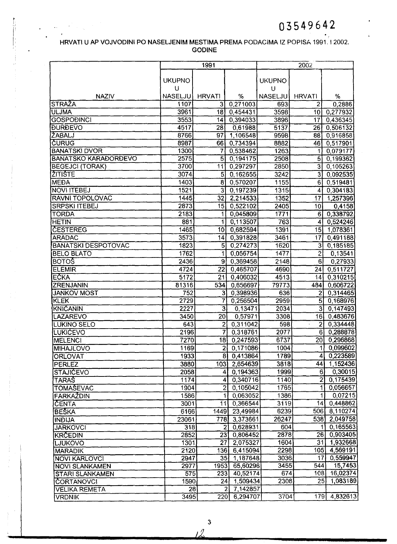### HRVATI U AP VOJVODINI PO NASELJENIM MESTIMA PREMA PODACiMA IZ POPISA 1991. 12002. GODINE

 $\frac{1}{1}$ 

|                                                       |                  | 1991                              |                            |                | 2002                             |                     |
|-------------------------------------------------------|------------------|-----------------------------------|----------------------------|----------------|----------------------------------|---------------------|
|                                                       |                  |                                   |                            |                |                                  |                     |
|                                                       | <b>UKUPNO</b>    |                                   |                            | <b>UKUPNO</b>  |                                  |                     |
|                                                       | U                |                                   |                            | U              |                                  |                     |
| <b>NAZIV</b>                                          | NASELJU          | <b>HRVATI</b>                     | $\%$                       | <b>NASELJU</b> | <b>HRVATI</b>                    | %                   |
| <b>STRAŽA</b>                                         | 1107             | 3                                 | 0,271003                   | 693            | 2                                | 0,2886              |
| <b>ULJMA</b>                                          | 3961             | 18                                | 0,454431                   | 3598           | 10                               | 0,277932            |
| <b>GOSPOĐINCI</b>                                     | 3553             | 14                                | 0,394033                   | 3896           | 17                               | 0,436345            |
| <b><i><u>DURDEVO</u></i></b>                          | 4517             | $\overline{28}$                   | 0,61988                    | 5137           | 26                               | 0,506132            |
| <b>ŽABALJ</b>                                         | 8766             | 97                                | 1,106548                   | 9598           | 88                               | 0,916858            |
| <b>CURUG</b>                                          | 8987             | 66                                | 0,734394                   | 8882           | 46                               | 0,517901            |
| <b>BANATSKI DVOR</b>                                  | 1300             | 7                                 | 0,538462                   | 1263           | 1                                | 0,079177            |
| <b>BANATSKO KARAĐORĐEVO</b><br><b>BEGEJCI (TORAK)</b> | 2575<br>3700     | $\overline{5}$<br>$\overline{11}$ | 0,194175                   | 2508           | $\overline{5}$                   | 0,199362            |
| <b>ŽITIŠTE</b>                                        | 3074             | $\overline{5}$                    | 0,297297                   | 2850           | $\overline{3}$<br>$\overline{3}$ | 0,105263            |
|                                                       | 1403             |                                   | 0,162655                   | 3242           |                                  | 0,092535            |
| <b>MEDA</b>                                           |                  | $\overline{8}$<br>$\overline{3}$  | 0,570207                   | 1155           | $6 \overline{6}$<br>4            | 0,519481            |
| <b>NOVI ITEBEJ</b>                                    | 1521             |                                   | 0,197239                   | 1315           |                                  | 0,304183            |
| RAVNI TOPOLOVAC                                       | 1445             | 32<br>15                          | 2,214533                   | 1352           | 17                               | 1,257396            |
| <b>SRPSKI ITEBEJ</b>                                  | 2873             |                                   | 0,522102                   | 2405           | 10                               | 0,4158              |
| <b>TORDA</b>                                          | 2183             | $\mathbf{1}$                      | 0,045809                   | 1771<br>763    | 6                                | 0,338792            |
| <b>HETIN</b><br><b>CESTEREG</b>                       | 881<br>1465      | 1<br>10                           | 0,113507                   |                | 4                                | 0,524246            |
| <b>ARADAC</b>                                         | 3573             | 4                                 | 0,682594                   | 1391           | 15<br>17                         | 1,078361            |
|                                                       |                  | $\overline{5}$                    | 0,391828                   | 3461           | $\overline{3}$                   | 0,491188            |
| <b>BANATSKI DESPOTOVAC</b>                            | 1823             | $\mathbf{1}$                      | 0,274273                   | 1620<br>1477   | $\overline{2}$                   | 0,185185            |
| <b>BELO BLATO</b><br><b>BOTOS</b>                     | 1762             | 9                                 | 0,056754                   |                | 6                                | 0,13541             |
|                                                       | 2436<br>4724     | $\overline{22}$                   | 0,369458                   | 2148           | $\overline{24}$                  | 0,27933<br>0,511727 |
| <b>ELEMIR</b><br><b>EČKA</b>                          | 5172             | $\overline{21}$                   | 0,465707<br>0,406032       | 4690<br>4513   | 14                               | 0,310215            |
| ZRENJANIN                                             | 81316            | 534                               | 0,656697                   | 79773          | 484                              | 0,606722            |
| <b>JANKOV MOST</b>                                    | 752              | $\overline{3}$                    | 0,398936                   | 636            | $\overline{2}$                   | 0,314465            |
| KLEK                                                  | 2729             | $\overline{7}$                    | 0,256504                   | 2959           | $\overline{5}$                   | 0,168976            |
| <b>KNICANIN</b>                                       | 2227             | $\overline{3}$                    | 0,13471                    | 2034           | $\overline{3}$                   | 0,147493            |
| <b>LAZAREVO</b>                                       | 3450             | 20                                | 0,57971                    | 3308           | 16                               | 0,483676            |
| LUKINO SELO                                           | 643              | $\overline{2}$                    | 0,311042                   | 598            | $\overline{2}$                   | 0,334448            |
| <b>LUKICEVO</b>                                       | 2196             | $\overline{7}$                    | 0,318761                   | 2077           | 6 <sup>1</sup>                   | 0,288878            |
| <b>MELENCI</b>                                        | 7270             | 18                                | 0,247593                   | 6737           | 20                               | 0,296868            |
| <b>MIHAJLOVO</b>                                      | 11691            |                                   | 2  0,171086                | 1004           | 11                               | [0,099602]          |
| <b>ORLOVAT</b>                                        | 1933             |                                   | 8 0,413864                 | 1789           | $\vert 4 \vert$                  | 0,223589            |
| <b>PERLEZ</b>                                         | 3880             |                                   | 103 2,654639               | 3818           | 44                               | 1,152436            |
| <b>STAJICEVO</b>                                      | 2058             |                                   | 4 0,194363                 | 1999           | 6l                               | 0,30015             |
| <b>TARAS</b>                                          | 1174             |                                   | 4 0,340716                 | 1140           | $\overline{2}$                   | 0,175439            |
| <b>TOMAŠEVAC</b>                                      | 1904             |                                   | $2\sqrt{0,105042}$         | 1765           | $\mathbf{1}^{\prime}$            | 0,056657            |
| FARKAZDIN                                             | 1586             | $\overline{1}$                    | 0,063052                   | 1386           | $\mathbf{1}$                     | 0,07215             |
| CENTA                                                 | 3001             | 11                                | 0,366544                   | 3119           | 14                               | 0,448862            |
| <b>BESKA</b>                                          | 6166             | 1449                              | 23,49984                   | 6239           |                                  | 506 8,110274        |
| <b>INDIJA</b>                                         | 23061            | 778                               | 3,373661                   | 26247          | 538                              | 2,049758            |
| <b>JARKOVCI</b>                                       | 318              | $\overline{c}$                    | 0,628931                   | 604            | 1                                | 0,165563            |
| <b>KRČEDIN</b>                                        | 2852             |                                   | 23 0,806452                | 2878           | 26                               | 0,903405            |
| LJUKOVO                                               | 1301             | 27                                | 2,075327                   | 1604           | 31                               | 1,932668            |
| <b>MARADIK</b>                                        | 2120             |                                   | 136 6,415094               | 2298           | 105                              | 4,569191            |
| <b>NOVI KARLOVCI</b>                                  | 2947             |                                   | 35 1,187648                | 3036           | 17                               | 0,559947            |
| <b>NOVI SLANKAMEN</b>                                 | 2977             | 1953                              | 65,60296                   | 3455           | 544                              | 15,7453             |
| <b>STARI SLANKAMEN</b>                                | $\overline{575}$ | 233                               | 40,52174                   | 674            | 1081                             | 16,02374            |
| <b>ČORTANOVCI</b>                                     | 1590             | 24                                | 1,509434                   | 2308           | 25                               | 1,083189            |
| <b>VELIKA REMETA</b>                                  | 28               |                                   | 7,142857<br>$\overline{2}$ |                |                                  |                     |
| <b>VRDNIK</b>                                         | 3495             | 220                               | 6,294707                   | 3704           | 179                              | 4,832613            |

3

12.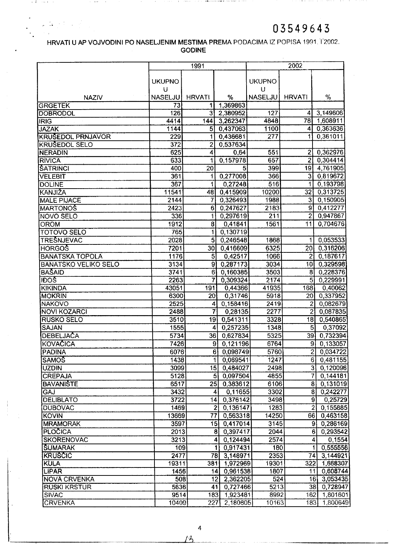**CONTRACTOR** 

**Contract Contract** 

### HRVATI U AP VOJVODINI PO NASELJENIM MESTIMA PREMA PODACIMA IZ POPISA 1991, 12002. GODINE

a series and described and construction of the construction of the construction of the construction of the construction of the construction of the construction of the construction of the construction of the construction of

 $\sim 10^{-1}$ 

and the control of the state of

, it is a second  $\alpha$  ,  $\alpha$  ,

 $\mathbb{Z} \times \mathbb{R} \rightarrow \mathbb{R}$ 

 $\alpha$  ,  $\alpha$  , and  $\alpha$  , and  $\alpha$ 

|                                |                  | 1991                |                             |                  | 2002            |                                   |
|--------------------------------|------------------|---------------------|-----------------------------|------------------|-----------------|-----------------------------------|
|                                |                  |                     |                             |                  |                 |                                   |
|                                | <b>UKUPNO</b>    |                     |                             | <b>UKUPNO</b>    |                 |                                   |
|                                | U                |                     |                             | U                |                 |                                   |
| <b>NAZIV</b>                   | <b>NASELJU</b>   | <b>HRVATI</b>       | %                           | <b>NASELJU</b>   | <b>HRVATI</b>   | %                                 |
| <b>GRGETEK</b>                 | $\overline{73}$  | 1<br>$\overline{3}$ | 1,369863                    | 127              |                 | 3,149606                          |
| <b>DOBRODOL</b><br><b>IRIG</b> | 126<br>4414      | 144                 | 2,380952<br>3,262347        | 4848             | 4<br>78         | 1,608911                          |
| <b>JAZAK</b>                   | 1144             | 5                   | 0,437063                    | 1100             | 4               | 0,363636                          |
| <b>KRUSEDOL PRNJAVOR</b>       | 229              | 1                   | 0,436681                    | $\overline{277}$ | 1               | 0,361011                          |
| <b>KRUSEDOL SELO</b>           | $\overline{372}$ | $\overline{c}$      | 0,537634                    |                  |                 |                                   |
| <b>NERADIN</b>                 | 625              | 4                   | 0,64                        | 551              | 2               | 0,362976                          |
| <b>RIVICA</b>                  | 633              |                     | 0,157978                    | 657              | $\overline{2}$  | 0,304414                          |
| <b>ŠATRINCI</b>                | 400              | $\overline{20}$     | 5                           | 399              | 19              | 4,761905                          |
| <b>VELEBIT</b>                 | 361              |                     | 0,277008                    | 366              | 3               | 0,819672                          |
| <b>DOLINE</b>                  | 367              |                     | 0,27248                     | 516              | 1               | 0,193798                          |
| KANJIŽA                        | 11541            | 48                  | 0,415909                    | 10200            | $\overline{32}$ | 0,313725                          |
| <b>MALE PIJACE</b>             | 2144             | 7                   | 0,326493                    | 1988             | 3               | 0,150905                          |
| <b>MARTONOŠ</b>                | $\sqrt{2423}$    | 6                   | 0,247627                    | 2183             | 9               | 0,412277                          |
| <b>NOVO SELO</b>               | 336              | $\mathbf{1}$        | 0,297619                    | 211              | $\overline{2}$  | 0,947867                          |
| <b>OROM</b>                    | 1912             | $\overline{8}$      | 0,41841                     | 1561             | 11              | 0,704676                          |
| <b>TOTOVO SELO</b>             | 765              | $\mathbf{1}$        | 0,130719                    |                  |                 |                                   |
| <b>TRESNJEVAC</b>              | 2028             | $\overline{5}$      | 0,246548                    | 1868             | 1               | 0,053533                          |
| <b>HORGOS</b>                  | 7201             | 30 <sub>2</sub>     | 0,416609                    | 6325             | 20              | 0,316206                          |
| <b>BANATSKA TOPOLA</b>         | 1176             | $\overline{5}$      | 0,42517                     | 1066             | $\overline{2}$  | 0,187617                          |
| <b>BANATSKO VELIKO SELO</b>    | 3134             | $\overline{9}$      | 0,287173                    | 3034             | 10              | 0,329598                          |
| <b>BAŠAID</b>                  | 3741             | $\overline{6}$      | 0,160385                    | 3503             | 8               | 0,228376                          |
| <b>IDOS</b>                    | 2263             | 7                   | 0,309324                    | 2174             | $\overline{5}$  | 0,229991                          |
| <b>KIKINDA</b>                 | 43051            | 191                 | 0,44366                     | 41935            | 168             | 0,40062                           |
| <b>MOKRIN</b>                  | 6300             | 20                  | 0,31746                     | 5918             | 20 <sup>2</sup> | 0,337952                          |
| <b>NAKOVO</b>                  | 2525             | 4                   | 0,158416                    | 2419             | $\overline{2}$  | 0,082679                          |
| <b>NOVI KOZARCI</b>            | 2488             | 7                   | 0,28135                     | 2277             | $\overline{2}$  | 0,087835                          |
| <b>RUSKO SELO</b>              | 3510             | 19 <sup>1</sup>     | 0,541311                    | 3328             | 18              | 0,540865                          |
| SAJAN                          | 1555             | 4                   | 0,257235                    | 1348             | $\overline{5}$  | 0,37092                           |
| <b>DEBELJAČA</b>               | 5734             | 36                  | 0,627834                    | 5325             | 39              | 0,732394                          |
| KOVAČICA                       | 7426             |                     | 9<br>0,121196               | 6764             | 9               | 0,133057                          |
| <b>PADINA</b>                  | 6076             |                     | 6 0,098749                  | 5760             |                 | 0,034722<br>2 <sub>1</sub>        |
| <b>SAMOŠ</b>                   | 1438             |                     | $\overline{1}$<br>0,069541  | 1247             |                 | -6<br>0,481155                    |
| <b>UZDIN</b>                   | 3099             |                     | 15 0,484027                 | 2498             |                 | 3 <sup>1</sup><br>0,120096        |
| <b>CREPAJA</b>                 | 5128             |                     | 5 <sub>l</sub><br>0,097504  | 4855             |                 | $\overline{7}$<br>0,144181        |
| <b>BAVANIŠTE</b>               | 6517             | 25                  | 0,383612                    | 6106             |                 | 0,131019<br>$\bf{8}$              |
| GAJ                            | 3432             |                     | 0,11655<br>$\vert$          | 3302             |                 | 8<br>0,242277                     |
| <b>DELIBLATO</b>               | $3722$           | 14                  | 0,376142                    | 3498             |                 | 9 <br>0,25729                     |
| <b>DUBOVAC</b>                 | 1469             |                     | $\mathbf{2}$<br>0,136147    | 1283             |                 | $\overline{2}$<br>0,155885        |
| <b>KOVIN</b>                   | 13669            | 77                  | 0,563318                    | 14250            | 66              | 0,463158                          |
| <b>MRAMORAK</b>                | 3597             |                     | 15 0,417014                 | 3145             |                 | 0,286169<br>91                    |
| <b>PLOCICA</b>                 | 2013             |                     | 8 0,397417                  | 2044             |                 | 0,293542<br>6                     |
| <b>SKORENOVAC</b>              | 3213             |                     | 4 <sup>1</sup><br>0,124494  | 2574             |                 | $\overline{\mathbf{A}}$<br>0,1554 |
| <b>SUMARAK</b>                 | 109              |                     | 0,917431<br>1               | 180              |                 | 0,555556<br>1                     |
| <b>KRUSCIC</b>                 | 2477             |                     | 78 <br>3,148971             | 2353             | 74              | 3,144921                          |
| KULA                           | 19311            | 381                 | 1,972969                    | 19301            | 322             | 1,668307                          |
| LIPAR                          | 1456             |                     | 0,961538<br>14 I            | 1807             | 11              | 0,608744                          |
| NOVA CRVENKA                   | 508              |                     | 12 <sup>1</sup><br>2,362205 | 524              |                 | 16 3,053435                       |
| <b>RUSKI KRSTUR</b>            | 5636             |                     | 0,727466<br>41              | 5213             |                 | 38 0,728947                       |
| SIVAC                          | 9514             | 183                 | 1,923481                    | 8992             | 162             | 1,801601                          |
| <b>CRVENKA</b>                 | 10409            | 227                 | 2,180805                    | 10163            | 183             | 1,800649                          |

4 *\_\_\_\_\_\_--'-/'...L6 \_*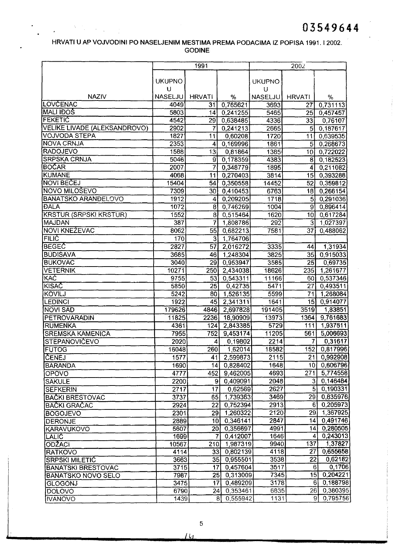### HRVATI U AP VOJVODINI PO NASELJENIM MESTIMA PREMA PODACIMA 12 POPISA 1991.12002. **GODINE**

 $\label{eq:2} \mathcal{O}(\frac{N}{\epsilon} - \frac{1}{\epsilon}) = \frac{1}{\epsilon} \sum_{i=1}^{\epsilon} \frac{1}{\epsilon_i} \sum_{i=1}^{\epsilon} \frac{1}{\epsilon_i} \sum_{i=1}^{\epsilon} \frac{1}{\epsilon_i} \sum_{i=1}^{\epsilon} \frac{1}{\epsilon_i} \sum_{i=1}^{\epsilon} \frac{1}{\epsilon_i} \sum_{i=1}^{\epsilon} \frac{1}{\epsilon_i} \sum_{i=1}^{\epsilon} \frac{1}{\epsilon_i} \sum_{i=1}^{\epsilon} \frac{1}{\epsilon_i} \sum_{i=1}^{\epsilon} \frac{1}{\epsilon_i} \$ 

|                                 |               | 1991            |                            |                | 2002                              |                      |
|---------------------------------|---------------|-----------------|----------------------------|----------------|-----------------------------------|----------------------|
|                                 |               |                 |                            |                |                                   |                      |
|                                 | <b>UKUPNO</b> |                 |                            | <b>UKUPNO</b>  |                                   |                      |
|                                 | U             |                 |                            | υ              |                                   |                      |
| <b>NAZIV</b><br><b>LOVCENAC</b> | NASELJU       | <b>HRVATI</b>   | %                          | <b>NASELJU</b> | <b>HRVATI</b>                     | %                    |
| MALI IÐÖŠ                       | 4049          | 31              | 0,765621                   | 3693           | 27                                | 0,731113             |
| <b>FEKETIC</b>                  | 5803          | 14              | 0,241255                   | 5465           | 25                                | 0,457457             |
| VELIKE LIVADE (ALEKSANDROVO)    | 4542<br>2902  | 29<br>7         | 0,638485                   | 4336           | 33 <sub>1</sub><br>5 <sup>1</sup> | 0,76107              |
| <b>VOJVODA STEPA</b>            | 1827          | 11              | 0,241213                   | 2665           | 11                                | 0,187617             |
| <b>NOVA CRNJA</b>               | 2353          | $\vert$         | 0,60208<br>0,169996        | 1720<br>1861   | 5 <sup>1</sup>                    | 0,639535<br>0.268673 |
| RADOJEVO                        | 1588          | $\overline{13}$ | 0,81864                    | 1385           | 10                                | 0,722022             |
| <b>SRPSKA CRNJA</b>             | 5046          | 91              | 0,178359                   | 4383           | 8                                 | 0,182523             |
| <b>BOČAR</b>                    | 2007          | 7               | 0,348779                   | 1895           | 4                                 | 0,211082             |
| <b>KUMANE</b>                   | 4068          | 11              | 0,270403                   | 3814           | 15                                | 0,393288             |
| NOVI BEČEJ                      | 15404         | 54              | 0,350558                   | 14452          | 52                                | 0,359812             |
| <b>NOVO MILOŠEVO</b>            | 7309          | 30)             | 0,410453                   | 6763           | 18                                | 0,266154             |
| <b>BANATSKO ARANDELOVO</b>      | 1912          | 4               | 0,209205                   | 1718           | 5                                 | 0,291036             |
| <b>DALA</b>                     | 1072          | $\overline{8}$  | 0,746269                   | 1004           | 9                                 | 0,896414             |
| <b>KRSTUR (SRPSKI KRSTUR)</b>   | 1552          | 8 <sup>1</sup>  | 0,515464                   | 1620           | 10                                | 0,617284             |
| MAJDAN                          | 387           | 7               | 1,808786                   | 292            | 3                                 | 1,027397             |
| NOVI KNEŽEVAC                   | 8062          | 55              | 0,682213                   | 7581           | $\overline{37}$                   | 0,488062             |
| <b>FILIC</b>                    | 170           | $\overline{3}$  | 1,764706                   |                |                                   |                      |
| <b>BEGEC</b>                    | 2827          | 57              | 2,016272                   | 3335           | 44                                | 1,31934              |
| <b>BUDISAVA</b>                 | 3685          | 46              | 1,248304                   | 3825           | 35                                | 0,915033             |
| <b>BUKOVAC</b>                  | 3040          | 29              | 0,953947                   | 3585           | 25                                | 0,69735              |
| VETERNIK                        | 10271         | 250             | 2,434038                   | 18626          | 235                               | 1,261677             |
| <b>KAC</b>                      | 9755          | 53              | 0,543311                   | 11166          | 601                               | 0,537346             |
| <b>KISAC</b>                    | 5850          | 25              | 0,42735                    | 5471           | $\overline{27}$                   | 0,493511             |
| <b>KOVILJ</b>                   | 5242          | 80              | 1,526135                   | 5599           | 71                                | 1,268084             |
| <b>LEDINCI</b>                  | 1922          | 45              | 2,341311                   | 1641           | 15                                | 0,914077             |
| <b>NOVI SAD</b>                 | 179626        | 4846            | 2,697828                   | 191405         | 3519                              | 1,83851              |
| PETROVARADIN                    | 11825         | 2236            | 18,90909                   | 13973          | 1364                              | 9,761683             |
| RUMENKA                         | 4361          | 124             | 2,843385                   | 5729           | 111                               | 1,937511             |
| <b>SREMSKA KAMENICA</b>         | 7955          | 752             | 9,453174                   | 11205          | 561                               | 5,006693             |
| <b>STEPANOVICEVO</b>            | 2020          | 4               | 0,19802                    | 2214           | $\overline{7}$                    | 0,31617              |
| <b>FUTOG</b>                    | 16048         | 260             | 1,62014                    | 18582          | 152                               | 0,817996             |
| <b>ČENEJ</b>                    | 1577          | 41              | 2,599873                   | 2115           | 21                                | 0,992908             |
| <b>BARANDA</b>                  | 1690          | 44              | 0,828402                   | 1648           | 10 <sub>l</sub>                   | 0,606796             |
| OPOVO                           | 4777          | 452             | 9,462005                   | 4693           | 271                               | 5,774558             |
| <b>SAKULE</b>                   | 2200          | 9 <sub>l</sub>  | 0,409091                   | 2048           | $\overline{3}$                    | 0,146484             |
| <b>SEFKERIN</b>                 | 2717          | 17              | 0,62569                    | 2627           | $\overline{5}$                    | 0,190331             |
| <b>BAČKI BRESTOVAC</b>          | 3737          | 65              | 1,739363                   | 3469           | 29                                | 0,835976             |
| <b>BAČKI GRAČAC</b>             | 2924          | 22              | 0,752394                   | 2913           | 6 <sup>1</sup>                    | 0,205973             |
| <b>BOGOJEVO</b>                 | 2301          | 29              | 1,260322                   | 2120           | 29                                | 1,367925             |
| <b>DERONJE</b>                  | 2889          | 10              | 0,346141                   | 2847           | 14                                | 0,491746             |
| <b>KARAVUKOVO</b>               | 5607          | 20              | 0,356697                   | 4991           | 14                                | 0,280505             |
| <b>LALIC</b>                    | 1699          | 7               | 0,412007                   | 1646           | 4                                 | 0,243013             |
| ODŽACI                          | 10567         | 210             | 1,987319                   | 9940           | 137                               | 1,37827              |
| <b>RATKOVO</b>                  | 4114          | 33              | 0,802139                   | 4118           | 27                                | 0,655658             |
| <b>SRPSKI MILETIC</b>           | 3663          | 35              | 0,955501                   | 3538           | $\overline{22}$                   | 0,62182              |
| <b>BANATSKI BRESTOVAC</b>       | 3715          | 17              | 0,457604                   | 3517           | 61                                | 0,1706               |
| <b>BANATSKO NOVO SELO</b>       | 7987          |                 | 25 0,313009                | 7345           |                                   | 15 0,204221          |
| <b>GLOGONJ</b>                  | 3475          | $\overline{17}$ | 0,489209                   | 3178           |                                   | 0,188798<br>61.      |
| <b>DOLOVO</b>                   | 6790          | 24              | 0,353461                   | 6835           | 26                                | 0,380395             |
| <b>IVANOVO</b>                  | 1439          |                 | 0,555942<br>8 <sup>1</sup> | 1131           | 9'                                | 0,795756             |

 $\overline{u}$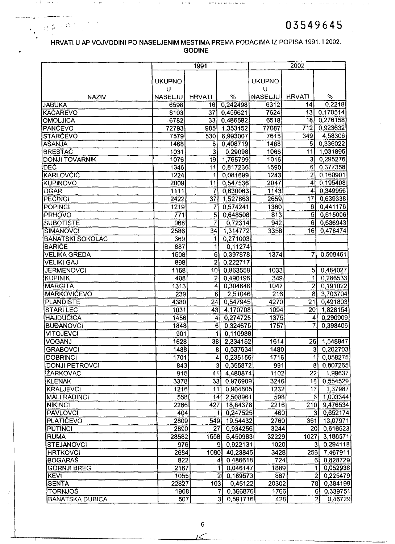المستحصر ويترابطها

 $\alpha_{\rm{max}}$  and

### HRVATI U AP VOJVODINI PO NASELJENIM MESTIMA PREMA PODAGIMA IZ POPISA 1991.12002. GODINE

 $\label{eq:3} \begin{split} &\left(\mathbf{F}^{\frac{1}{2}}_{\mathbf{F}}\mathbf{e}^{i\mathbf{r}_{1}}\mathbf{e}^{i\mathbf{r}_{2}}\mathbf{e}^{i\mathbf{r}_{2}}\mathbf{e}^{i\mathbf{r}_{2}}\mathbf{e}^{i\mathbf{r}_{3}}\mathbf{e}^{i\mathbf{r}_{3}}\right) \\ &\left(\mathbf{F}^{\frac{1}{2}}_{\mathbf{F}}\mathbf{e}^{i\mathbf{r}_{2}}\mathbf{e}^{i\mathbf{r}_{2}}\mathbf{e}^{i\mathbf{r}_{3}}\mathbf{e}^{i\mathbf{$ 

 $\alpha$  -section

, I

 $\alpha \approx 0.2$ 

 $\mathcal{F}$  , and  $\mathcal{F}$  , and

 $\mathcal{O}(\mathcal{O}(n^2))$  , where  $\mathcal{O}(\mathcal{O}(n^2))$  , and

|                         |                    | 1991            |                            | 2002           |                  |                            |  |
|-------------------------|--------------------|-----------------|----------------------------|----------------|------------------|----------------------------|--|
|                         |                    |                 |                            | <b>UKUPNO</b>  |                  |                            |  |
|                         | <b>UKUPNO</b><br>U |                 |                            | U              |                  |                            |  |
| <b>NAZIV</b>            | <b>NASELJU</b>     | <b>HRVATI</b>   | %                          | <b>NASELJU</b> | <b>HRVATI</b>    | %                          |  |
| <b>JABUKA</b>           | 6598               | 16              | 0,242498                   | 6312           | 14               | 0,2218                     |  |
| <b>KAČAREVO</b>         | 8103               | $\overline{37}$ | 0,456621                   | 7624           | 13               | 0,170514                   |  |
| OMOLJICA                | 6782               | 33              | 0,486582                   | 6518           | 18               | 0,276158                   |  |
| <b>PANCEVO</b>          | 72793              | 985             | 1,353152                   | 77087          | $\overline{712}$ | 0,923632                   |  |
| <b>STARCEVO</b>         | 7579               | 530             | 6,993007                   | 7615           | 349              | 4,58306                    |  |
| <b>AŠANJA</b>           | 1468               | 6               | 0,408719                   | 1488           | 5                | 0,336022                   |  |
| <b>BRESTAC</b>          | 1031               | $\overline{3}$  | 0,29098                    | 1066           | 11               | 1,031895                   |  |
| <b>DONJI TOVARNIK</b>   | 1076               | 19              | 1,765799                   | 1016           | 3                | 0,295276                   |  |
| DEC                     | 1346               | $\overline{11}$ | 0,817236                   | 1590           | $\overline{6}$   | 0,377358                   |  |
| KARLOVČIĆ               | 1224               | 1               | 0,081699                   | 1243           | 2                | 0,160901                   |  |
| <b>KUPINOVO</b>         | 2009               | 11              | 0,547536                   | 2047           | 4                | 0,195408                   |  |
| <b>OGAR</b>             | 1111               | 7               | 0,630063                   | 1143           | 4                | 0,349956                   |  |
| <b>PECINCI</b>          | 2422               | 37              | 1,527663                   | 2659           | 17               | 0,639338                   |  |
| <b>POPINGI</b>          | 1219               | 7               | 0,574241                   | 1360           | 6                | 0,441176                   |  |
| PRHOVO                  | $\overline{771}$   | $5^{\circ}$     | 0,648508                   | 813            | 5                | 0,615006                   |  |
| <b>SUBOTIŠTE</b>        | 968                | $7^{\circ}$     | 0,72314                    | 942            | 6 <sup>1</sup>   | 0,636943                   |  |
| <b>ŠIMANOVCI</b>        | 2586               | 34              | 1,314772                   | 3358           | 16               | 0,476474                   |  |
| <b>BANATSKI SOKOLAC</b> | 369                | 1               | 0,271003                   |                |                  |                            |  |
| <b>BARICE</b>           | 887                | 1               | 0,11274                    |                |                  |                            |  |
| <b>VELIKA GREDA</b>     | 1508               | $6 \,$          | 0,397878                   | 1374           | 7                | 0,509461                   |  |
| <b>VELIKI GAJ</b>       | 898                | $\overline{2}$  | 0,222717                   |                |                  |                            |  |
| <b>JERMENOVCI</b>       | 1158               | 10              | 0,863558                   | 1033           | 5                | 0,484027                   |  |
| <b>KUPINIK</b>          | 408                | $\overline{2}$  | 0,490196                   | 349            | 1                | 0,286533                   |  |
| <b>MARGITA</b>          | 1313               | 4               | 0,304646                   | 1047           | $\overline{2}$   | 0,191022                   |  |
| <b>MARKOVICEVO</b>      | 239                | $6^{\circ}$     | 2,51046                    | 216            | $\overline{8}$   | 3,703704                   |  |
| <b>PLANDISTE</b>        | 4380               | 24              | 0,547945                   | 4270           | $\overline{21}$  | 0,491803                   |  |
| <b>STARILEC</b>         | 1031               | 43              | 4,170708                   | 1094           | 20               | 1,828154                   |  |
| <b>HAJDUČICA</b>        | 1456               | 4               | 0,274725                   | 1375           | 4                | 0,290909                   |  |
| <b>BUĐANOVCI</b>        | 1848               | $\overline{6}$  | 0,324675                   | 1757           | 7.               | 0,398406                   |  |
| VITOJEVCI               | 901                |                 | 1<br>0,110988              |                |                  |                            |  |
| VOGANJ                  | 1628               |                 | 38 2,334152                | 1614           | 25               | 1,548947                   |  |
| <b>GRABOVCI</b>         | 1488               |                 | 0,537634<br>81             | 1480           | 31               | 0,202703                   |  |
| <b>DOBRINCI</b>         | 1701               |                 | 0,235156<br>$\overline{4}$ | 1716           | 1                | 0,058275                   |  |
| <b>DONJI PETROVCI</b>   | 843                |                 | 3 <sup>1</sup><br>0,355872 | 991            | 81               | 0,807265                   |  |
| ŽARKOVAC                | 915                | 41              | 4,480874                   | 1102           | 22               | 1,99637                    |  |
| <b>KLENAK</b>           | 3378               |                 | 33 0,976909                | 3246           | 18               | 0,554529                   |  |
| <b>KRALJEVCI</b>        | 1216               | 11              | 0,904605                   | 1232           | 17               | 1,37987                    |  |
| <b>MALI RADINCI</b>     | 558                | 44              | 2,508961                   | 598            | 6                | 1,003344                   |  |
| NIKINCI                 | 2266               | 427             | 18,84378                   | 2216           | 210              | 9,476534                   |  |
| <b>PAVLOVCI</b>         | 404                |                 | 0,247525                   | 460            |                  | 3 0,652174                 |  |
| <b>PLATIČEVO</b>        | 2809               | 549             | 19,54432                   | 2760           | 361              | 13,07971                   |  |
| <b>PUTINCI</b>          | 2890               | 27              | 0,934256                   | 3244           |                  | 20 0,616523                |  |
| <b>RUMA</b>             | 28582              | 1558            | 5,450983                   | 32229          | 1027             | 3,186571                   |  |
| <b>STEJANOVCI</b>       | 976                |                 | 0,922131<br>9ì             | 1020           |                  | 0,294118<br>31             |  |
| <b>HRTKOVCI</b>         | 2684               | 1080            | 40,23845                   | 3428           |                  | 256 7,467911               |  |
| <b>BOGARAS</b>          | 822                |                 | 0,486618<br>41             | 724            |                  | 6 0,828729                 |  |
| <b>GORNJI BREG</b>      | 2167               |                 | 0,046147<br>11             | 1889           |                  | $\mathbf{1}$<br>0,052938   |  |
| <b>KEVI</b>             | 1055               |                 | 2 <sub>1</sub><br>0,189573 | 887            |                  | $\mathbf{z}$<br>0,225479   |  |
| <b>SENTA</b>            | 22827              | 103             | 0,45122                    | 20302          |                  | 78<br>0,384199             |  |
| <b>TORNJOS</b>          | 1908               |                 | 0,366876<br>71             | 1766           |                  | 0,339751<br>6 <sup>1</sup> |  |
| <b>BANATSKA DUBICA</b>  | 507                |                 | $\overline{3}$<br>0,591716 | 428            |                  | 2<br>0,46729               |  |

6 $15<$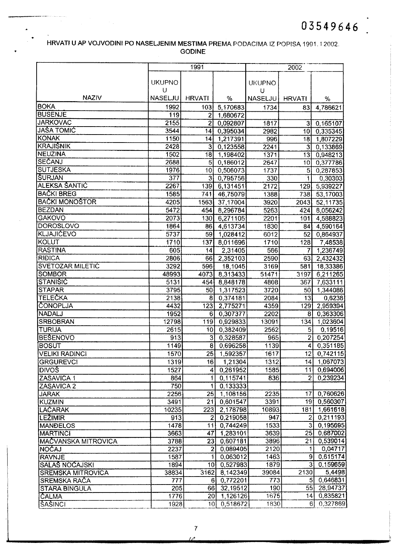### HRVATI U AP VOJVODINI PO NASELJENIM MESTIMA PREMA PODACIMA IZ POPISA 1991\_ 12002 GODINE

|                                  |                  | 1991              |                      |               | 2002            |                      |
|----------------------------------|------------------|-------------------|----------------------|---------------|-----------------|----------------------|
|                                  |                  |                   |                      |               |                 |                      |
|                                  | <b>UKUPNO</b>    |                   |                      | <b>UKUPNO</b> |                 |                      |
|                                  | U                |                   |                      | U             |                 |                      |
| <b>NAZIV</b>                     | <b>NASELJU</b>   | <b>HRVATI</b>     | $\%$                 | NASELJU       | <b>HRVATI</b>   | %                    |
| <b>BOKA</b>                      | 1992             | 103               | 5,170683             | 1734          | 83              | 4,786621             |
| <b>BUSENJE</b>                   | 119              | 2                 | 1,680672             |               |                 |                      |
| <b>JARKOVAC</b>                  | 2155             | $\overline{2}$    | 0,092807             | 1817          | $\overline{3}$  | 0,165107             |
| <b>JASA TOMIC</b>                | 3544             | 14                | 0,395034             | 2982          | 10              | 0,335345             |
| <b>KONAK</b>                     | 1150             | 14                | 1,217391             | 996           | 18              | 1,807229             |
| <b>KRAJIŠNIK</b>                 | 2428             | 3                 | 0,123558             | 2241          | 3               | 0,133869             |
| <b>NEUZINA</b>                   | 1502             | 18                | 1,198402             | 1371          | 13              | 0,948213             |
| SEČANJ                           | 2688             | 5                 | 0,186012             | 2647          | 10              | 0,377786             |
| <b>SUTJESKA</b>                  | 1976             | 10                | 0,506073             | 1737          | 5               | 0,287853             |
| <b>SURJAN</b>                    | $\overline{377}$ | 3                 | 0,795756             | 330           | 1               | 0,30303              |
| <b>ALEKSA ŠANTIČ</b>             | 2267             | 139               | 6,131451             | 2172          | 129             | 5,939227             |
| <b>BACKI BREG</b>                | 1585             | 741               | 46,75079             | 1388          | 738             | 53,17003             |
| <b>BACKI MONOSTOR</b>            | 4205             | 1563              | 37,17004             | 3920          | 2043            | 52,11735             |
| <b>BEZDAN</b>                    | 5472             | 454               | 8,296784             | 5263          | 424             | 8,056242             |
| <b>GAKOVO</b>                    | 2073             | 130               | 6,271105             | 2201          | 101             | 4,588823             |
| <b>DOROSLOVO</b>                 | 1864             | 86                | 4,613734             | 1830          | 84              | 4,590164             |
| <b>KLJAJIĆEVO</b>                | 5737             | 59                | 1,028412             | 6012          | 52              | 0,864937             |
| <b>KOLUT</b>                     | 1710             | 137               | 8,011696             | 1710          | 128             | 7,48538              |
| <b>RASTINA</b>                   | 605              | 14                | 2,31405              | 566           | 7               | 1,236749             |
| <b>RIDICA</b>                    | 2806             | 66                | 2,352103             | 2590          | 63              | 2,432432             |
| <b>SVETOZAR MILETIC</b>          | 3292             | 596               | 18,1045              | 3169          | 581             | 18,33386             |
| <b>SOMBOR</b>                    | 48993            | 4073              | 8,313433             | 51471         | 3197            | 6,211265             |
| STANIŠIĆ                         | 5131             | 454               | 8,848178             | 4808          | 367             | 7,633111             |
| <b>STAPAR</b>                    | 3795             | 50                | 1,317523             | 3720          | 50              | 1,344086             |
| <b>TELEČKA</b>                   | 2138             | 8                 | 0,374181             | 2084          | 13              | 0,6238               |
| CONOPLJA                         | 4432             | 123               | 2,775271             | 4359          | 129             | 2,959394             |
| <b>NADALJ</b>                    | 1952             | $6 \mid$          | 0,307377             | 2202          | 8               | 0,363306             |
| <b>SRBOBRAN</b>                  | 12798            | 119               | 0,929833             | 13091         | 134             | 1,023604             |
| TURIJA                           | 2615             | 10 <sub>1</sub>   | 0,382409             | 2562          | 5               | 0,19516              |
| <b>BESENOVO</b>                  | 913              | 3                 | 0,328587             | 965           | $\mathbf{2}$    | 0,207254             |
| <b>BOSUT</b>                     | 1149             | $\lvert 8 \rvert$ | 0,696258             | 1139          | 4               | 0,351185             |
| VELIKI RADINCI                   | 1570             | 25                | 1,592357             | 1617          |                 | 12 0,742115          |
| GRGUREVCI                        | 1319             | 16                | 1,21304              | 1312          | 14              | 1,067073             |
| <b>DIVOŠ</b>                     | 1527             | 4                 | 0,261952             | 1585          | 11              | 0,694006             |
| ZASAVICA 1                       | 864              | $\mathbf{1}$      | 0,115741             | 836           | $\overline{2}$  | 0,239234             |
| ZASAVICA 2                       | $\overline{750}$ | 1                 | 0,133333             |               |                 |                      |
| <b>JARAK</b>                     | 2256             | 25                | 1,108156             | 2235          | 17 <sup>1</sup> | 0,760626             |
| <b>KUZMIN</b>                    | 3491             | $\overline{21}$   | 0,601547             | 3391<br>10893 | 19<br>181       | 0,560307<br>1,661618 |
| <b>LACARAK</b><br><b>LEZIMIR</b> | 10235<br>913     | 223<br>2          | 2,178798<br>0,219058 | 947           | $\overline{2}$  | 0,211193             |
| <b>MANDELOS</b>                  | 1478             |                   | 0,744249             | 1533          | 3               | 0,195695             |
| <b>MARTINCI</b>                  | 3663             | 11<br>47          | 1,283101             | 3639          | 25              | 0,687002             |
| MAČVANSKA MITROVICA              | 3788             | 23                | 0,607181             | 3896          | 21 <sub>1</sub> | 0,539014             |
| NOCAJ                            | 2237             | 2                 | 0,089405             | 2120          | 1.              | 0,04717              |
| <b>RAVNJE</b>                    | 1587             | 1                 | 0,063012             | 1463          | 9               | 0,615174             |
| <b>SALAS NOCAJSKI</b>            | 1894             |                   | $10$ 0,527983        | 1879          | $3^{\circ}$     | 0,159659             |
| <b>SREMSKA MITROVICA</b>         | 38834            |                   | 3162 8,142349        | 39084         | 2130            | 5,4498               |
| <b>SREMSKA RAČA</b>              | 777              |                   | 6 0,772201           | 773           | 5 <sub>l</sub>  | 0,646831             |
| <b>STARA BINGULA</b>             | 205              |                   | 66 32,19512          | 190           |                 | 55 28,94737          |
| CALMA                            | 1776             |                   | 20 1,126126          | 1675          | 14              | 0,835821             |
| <b>ŠAŠINCI</b>                   | 1928             | 10 <sub>l</sub>   | 0,518672             | 1830          |                 | $6\sqrt{0,327869}$   |
|                                  |                  |                   |                      |               |                 |                      |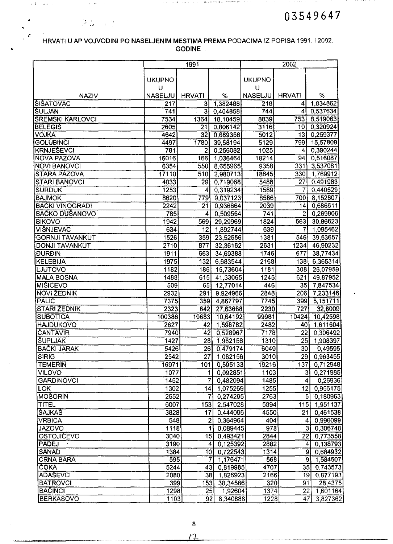the contract of the contract of the property of the contract of the contract of the contract of the contract of the contract of the contract of the contract of the contract of the contract of the contract of the contract o

 $\hat{\mathbf{r}}$  ,  $\hat{\mathbf{r}}$  ,  $\hat{\mathbf{r}}$  , and  $\hat{\mathbf{r}}$  , and  $\hat{\mathbf{r}}$ 

 $\mathcal{A}$  , and  $\mathcal{A}$ 

 $\mathfrak{C}$ 

### HRVATI U AP VOJVODINI PO NASELJENIM MESTIMA PREMA PODACIMA IZ POPISA 1991.12002. GODINE

**Four-**concess ( )

n in the

and the contract of the contract of the state of the state of an interest of the state of the state of the state of the state of the state of the state of the state of the state of the state of the state of the state of th

|                              |                     | 1991                    |                                             |                     | 2002             |                        |
|------------------------------|---------------------|-------------------------|---------------------------------------------|---------------------|------------------|------------------------|
|                              |                     |                         |                                             |                     |                  |                        |
|                              | <b>UKUPNO</b>       |                         |                                             | <b>UKUPNO</b>       |                  |                        |
| <b>NAZIV</b>                 | U<br><b>NASELJU</b> | <b>HRVATI</b>           | %                                           | U<br><b>NASELJU</b> | <b>HRVATI</b>    | %                      |
| <b>SISATOVAC</b>             | 217                 | $\overline{3}$          | 1,382488                                    | 218                 | 4                | 1,834862               |
| SULJAN                       | 741                 | $\overline{\mathbf{3}}$ | 0,404858                                    | 744                 | 4                | 0,537634               |
| <b>SREMSKI KARLOVCI</b>      | 7534                | 1364                    | 18,10459                                    | 8839                | 753              | 8,519063               |
| <b>BELEGIS</b>               | 2605                | $\overline{21}$         | 0,806142                                    | 3116                | 10 <sup>1</sup>  | 0,320924               |
| <b>VOJKA</b>                 | 4642                | 32                      | 0,689358                                    | 5012                | 13               | 0,259377               |
| <b>GOLUBINCI</b>             | 4497                | 1780                    | 39,58194                                    | 5129                | 799              | 15,57809               |
| <b>KRNJEŠEVCI</b>            | 781                 | $\overline{c}$          | 0,256082                                    | 1025                | 4                | 0,390244               |
| NOVA PAZOVA                  | 16016               | 166                     | 1,036464                                    | 18214               | 94               | 0,516087               |
| <b>NOVI BANOVCI</b>          | 6354                | 550                     | 8,655965                                    | 9358                | 331'             | 3,537081               |
| <b>STARA PAZOVA</b>          | 17110               | 510                     | 2,980713                                    | 18645               | 330              | 1,769912               |
| <b>STARI BANOVCI</b>         | 4033                | 29                      | 0,719068                                    | 5488                | 27               | 0,491983               |
| <b>SURDUK</b>                | 1253                | 4                       | 0,319234                                    | 1589                | 7                | 0,440529               |
| <b>BAJMOK</b>                | 8620                | 779                     | 9,037123                                    | 8586                | 700              | 8,152807               |
| <b>BAČKI VINOGRADI</b>       | 2242                | 21                      | 0,936664                                    | 2039                | 14               | 0,686611               |
| <b>BAČKO DUŠANOVO</b>        | 785                 | 4                       | 0,509554                                    | 741                 | $\overline{2}$   | 0,269906               |
| <b>BIKOVO</b>                | 1942                | 569                     | 29,29969                                    | 1824                | 563              | 30,86623               |
| VIŠNJEVAC                    | 634                 | 12                      | 1,892744                                    | 639                 | 7                | 1,095462               |
| <b>GORNJI TAVANKUT</b>       | 1526                | 359                     | 23,52556                                    | 1381                | 546              | 39,53657               |
| <b>DONJI TAVANKUT</b>        | 2710                | 877                     | 32,36162                                    | 2631                | 1234             | 46,90232               |
| <b>DURDIN</b>                | 1911                | 663                     | 34,69388                                    | 1746                | 677              | 38,77434               |
| <b>KELEBIJA</b>              | 1975                | 132                     | 6,683544                                    | 2168                | 138              | 6,365314               |
| <b>LJUTOVO</b>               | 1182                | 186                     | 15,73604                                    | 1181                | 308              | 26,07959               |
| <b>MALA BOSNA</b>            | 1488                | 615                     | 41,33065                                    | 1245                | 621              | 49,87952               |
| <b>MIŠIĆEVO</b>              | 509                 | 65                      | 12,77014                                    | 446                 | 35               | 7,847534               |
| <b>NOVI ŽEDNIK</b>           | 2932                | 291                     | 9,924966                                    | 2848                | 206              | 7,233146               |
| <b>PALIC</b>                 | 7375                | 359                     | 4,867797                                    | 7745                | 399              | 5,151711               |
| <b>STARI ŽEDNIK</b>          | 2323                | 642                     | 27,63668                                    | 2230                | 727              | 32,6009                |
| <b>SUBOTICA</b>              | 100386              | 10683                   | 10,64192                                    | 99981               | 10424            | 10,42598               |
| <b>HAJDUKOVO</b>             | 2627                | 42                      | 1,598782                                    | 2482                | 40               | 1,611604               |
| <b>ČANTAVIR</b>              | 7940                | 42                      | 0,528967                                    | 7178                | 22               | 0,306492               |
| <b>SUPLJAK</b>               | 1427                | 28                      | 1,962158                                    | 1310                | $\overline{25}$  | 1,908397               |
| BAČKI JARAK                  | 5426                |                         | 26 0,479174                                 | 6049                | 30               | 0,49595                |
| <b>SIRIG</b>                 | 2542                | 27                      | 1,062156                                    | 3010                | 29               | 0,963455               |
| <b>TEMERIN</b>               | 16971               | 101                     | 0,595133                                    | 19216               | 137              | 0,712948               |
| <b>VILOVO</b>                | 1077                | 1<br>7                  | 0,092851                                    | 1103                | 3                | 0,271985               |
| <b>GARDINOVCI</b>            | 1452                |                         | 0,482094                                    | 1485                | $\boldsymbol{4}$ | 0,26936                |
| <b>LOK</b><br><b>MOŠORIN</b> | 1302                | 4                       | 1,075269                                    | 1255                | 12               | 0,956175               |
|                              | 2552<br>6007        | $\overline{7}$          | 0,274295                                    | 2763                |                  | 5 0,180963             |
| TITEL<br><b>SAJKAS</b>       |                     | 153                     | 2,547028                                    | 5894                | 115              | 1,951137               |
| <b>VRBICA</b>                | 3828<br>548         | 17                      | 0,444096                                    | 4550<br>404         | $\overline{21}$  | 0,461538<br>4 0,990099 |
| <b>JAZOVO</b>                | 1118                |                         | $\overline{2}$<br>0,364964<br>0,089445<br>1 | 978                 |                  | 3 0,306748             |
| <b>OSTOJIČEVO</b>            | 3040                |                         | 15 <br>0,493421                             | 2844                |                  | 22 0,773558            |
| PADEJ                        | 3190                |                         | 0,125392<br>$\vert$                         | 2882                |                  | 4 0,138793             |
| <b>SANAD</b>                 | 1384                |                         | 0,722543<br>10 <sup>1</sup>                 | 1314                |                  | 9 0,684932             |
| <b>CRNA BARA</b>             | 595                 |                         | 7<br>1,176471                               | 568                 |                  | 9 1,584507             |
| <b>ČOKA</b>                  | 5244                |                         | 43 <br>0,819985                             | 4707                | 35               | 0,743573               |
| <b>ADAŠEVCI</b>              | 2080                | 38                      | 1,826923                                    | 2166                | 19               | 0,877193               |
| <b>BATROVCI</b>              | 399                 | 153                     | 38,34586                                    | 320                 | 91               | 28,4375                |
| <b>BACINCI</b>               | 1298                | 25                      | 1,92604                                     | 1374                | 22               | 1,601164               |
| <b>BERKASOVO</b>             | 1103                | 92                      | 8,340888                                    | 1228                | 47               | 3,827362               |

8  $12$